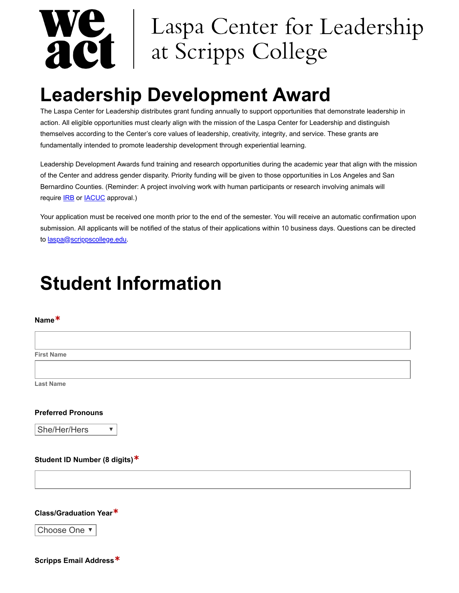# Laspa Center for Leadership ME | Laspa Center for I<br>ACI | at Scripps College

# **Leadership Development Award**

The Laspa Center for Leadership distributes grant funding annually to support opportunities that demonstrate leadership in action. All eligible opportunities must clearly align with the mission of the Laspa Center for Leadership and distinguish themselves according to the Center's core values of leadership, creativity, integrity, and service. These grants are fundamentally intended to promote leadership development through experiential learning.

Leadership Development Awards fund training and research opportunities during the academic year that align with the mission of the Center and address gender disparity. Priority funding will be given to those opportunities in Los Angeles and San Bernardino Counties. (Reminder: A project involving work with human participants or research involving animals will require **IRB** or **IACUC** approval.)

Your application must be received one month prior to the end of the semester. You will receive an automatic confirmation upon submission. All applicants will be notified of the status of their applications within 10 business days. Questions can be directed to [laspa@scrippscollege.edu.](https://laspa@scrippscollege.edu/)

# **Student Information**

# **Name\***

**First Name**

**Last Name**

# **Preferred Pronouns**

She/Her/Hers

# **Student ID Number (8 digits)\***

 $\overline{\mathbf{v}}$ 

### **Class/Graduation Year\***

Choose One ▼

**Scripps Email Address\***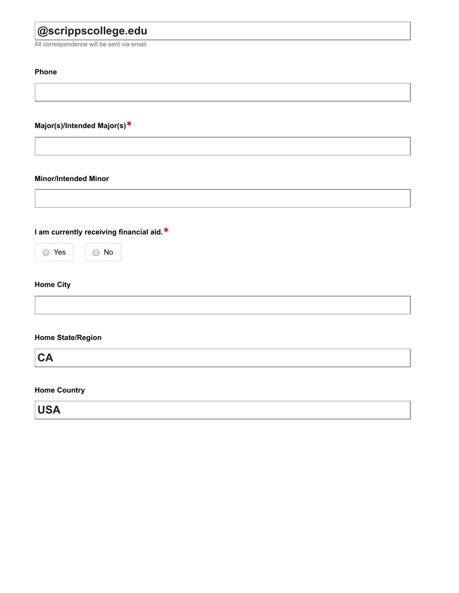# **@scrippscollege.edu**

All correspondence will be sent via email.

# **Phone**

# **Major(s)/Intended Major(s)\***

# **Minor/Intended Minor**

**I am currently receiving financial aid.\***



# **Home City**

|  |  | <b>Home State/Region</b> |
|--|--|--------------------------|
|--|--|--------------------------|

**CA**

# **Home Country**

**USA**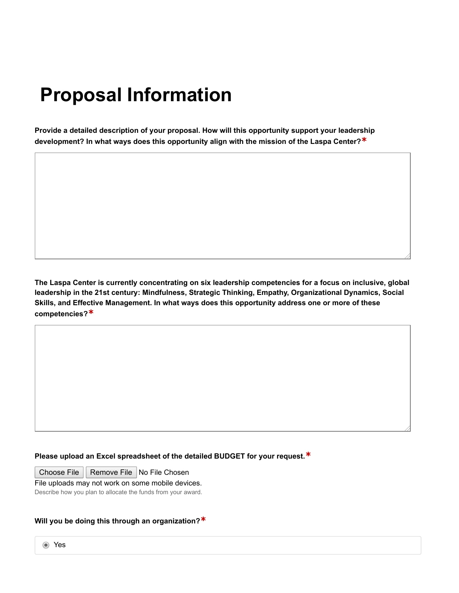# **Proposal Information**

**Provide a detailed description of your proposal. How will this opportunity support your leadership development? In what ways does this opportunity align with the mission of the Laspa Center?\***

**The Laspa Center is currently concentrating on six leadership competencies for a focus on inclusive, global leadership in the 21st century: Mindfulness, Strategic Thinking, Empathy, Organizational Dynamics, Social Skills, and Effective Management. In what ways does this opportunity address one or more of these competencies?\***

# **Please upload an Excel spreadsheet of the detailed BUDGET for your request.\***

Choose File | Remove File | No File Chosen

File uploads may not work on some mobile devices.

Describe how you plan to allocate the funds from your award.

# **Will you be doing this through an organization?\***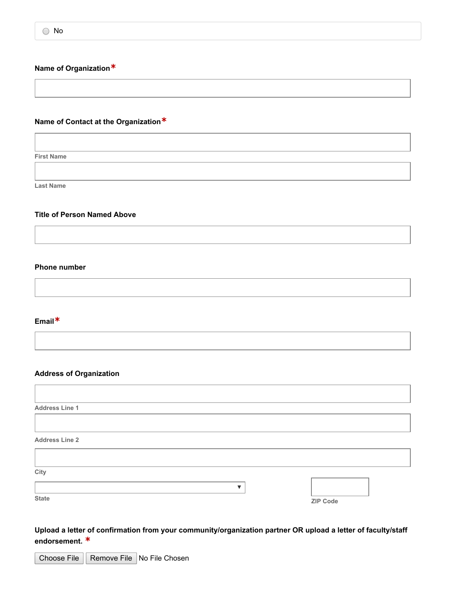# **Name of Organization\***

# **Name of Contact at the Organization\***

**First Name**

**Last Name**

# **Title of Person Named Above**

### **Phone number**

# **Email\***

Г

#### **Address of Organization**

| <b>Address Line 1</b> |                 |
|-----------------------|-----------------|
|                       |                 |
| <b>Address Line 2</b> |                 |
|                       |                 |
| City                  |                 |
|                       |                 |
| <b>State</b>          | <b>ZIP Code</b> |

**Upload a letter of confirmation from your community/organization partner OR upload a letter of faculty/staff endorsement. \***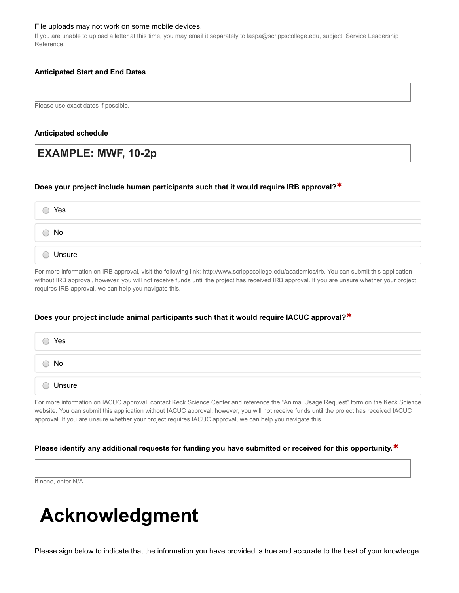#### File uploads may not work on some mobile devices.

If you are unable to upload a letter at this time, you may email it separately to laspa@scrippscollege.edu, subject: Service Leadership Reference.

# **Anticipated Start and End Dates**

Please use exact dates if possible.

#### **Anticipated schedule**

# **EXAMPLE: MWF, 10-2p**

### **Does your project include human participants such that it would require IRB approval?\***

| Yes    |  |  |  |
|--------|--|--|--|
| No     |  |  |  |
| Unsure |  |  |  |

For more information on IRB approval, visit the following link: http://www.scrippscollege.edu/academics/irb. You can submit this application without IRB approval, however, you will not receive funds until the project has received IRB approval. If you are unsure whether your project requires IRB approval, we can help you navigate this.

### **Does your project include animal participants such that it would require IACUC approval?\***

| Yes    |  |  |
|--------|--|--|
| No     |  |  |
| Unsure |  |  |

For more information on IACUC approval, contact Keck Science Center and reference the "Animal Usage Request" form on the Keck Science website. You can submit this application without IACUC approval, however, you will not receive funds until the project has received IACUC approval. If you are unsure whether your project requires IACUC approval, we can help you navigate this.

### **Please identify any additional requests for funding you have submitted or received for this opportunity.\***

If none, enter N/A

# **Acknowledgment**

Please sign below to indicate that the information you have provided is true and accurate to the best of your knowledge.